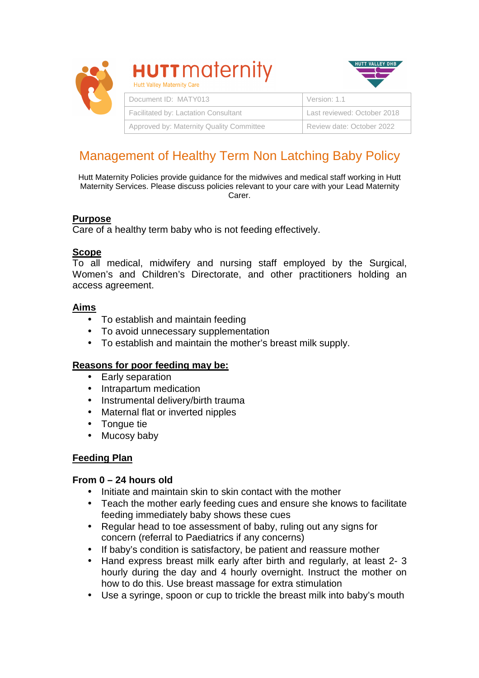

# **HUTT** maternity



| Document ID: MATY013                     | Version: 1.1                |
|------------------------------------------|-----------------------------|
| Facilitated by: Lactation Consultant     | Last reviewed: October 2018 |
| Approved by: Maternity Quality Committee | Review date: October 2022   |

# Management of Healthy Term Non Latching Baby Policy

Hutt Maternity Policies provide guidance for the midwives and medical staff working in Hutt Maternity Services. Please discuss policies relevant to your care with your Lead Maternity Carer.

# **Purpose**

Care of a healthy term baby who is not feeding effectively.

# **Scope**

To all medical, midwifery and nursing staff employed by the Surgical, Women's and Children's Directorate, and other practitioners holding an access agreement.

# **Aims**

- To establish and maintain feeding
- To avoid unnecessary supplementation
- To establish and maintain the mother's breast milk supply.

# **Reasons for poor feeding may be:**

- Early separation
- Intrapartum medication
- Instrumental delivery/birth trauma
- Maternal flat or inverted nipples
- Tongue tie
- Mucosy baby

# **Feeding Plan**

#### **From 0 – 24 hours old**

- Initiate and maintain skin to skin contact with the mother
- Teach the mother early feeding cues and ensure she knows to facilitate feeding immediately baby shows these cues
- Regular head to toe assessment of baby, ruling out any signs for concern (referral to Paediatrics if any concerns)
- If baby's condition is satisfactory, be patient and reassure mother
- Hand express breast milk early after birth and regularly, at least 2- 3 hourly during the day and 4 hourly overnight. Instruct the mother on how to do this. Use breast massage for extra stimulation
- Use a syringe, spoon or cup to trickle the breast milk into baby's mouth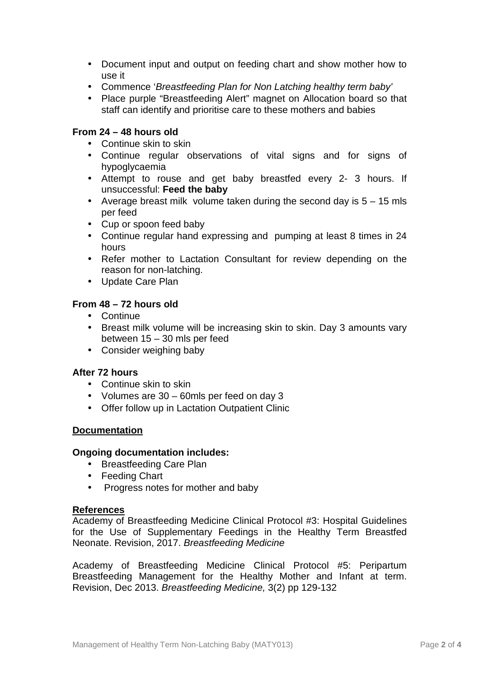- Document input and output on feeding chart and show mother how to use it
- Commence 'Breastfeeding Plan for Non Latching healthy term baby'
- Place purple "Breastfeeding Alert" magnet on Allocation board so that staff can identify and prioritise care to these mothers and babies

#### **From 24 – 48 hours old**

- Continue skin to skin
- Continue regular observations of vital signs and for signs of hypoglycaemia
- Attempt to rouse and get baby breastfed every 2- 3 hours. If unsuccessful: **Feed the baby**
- Average breast milk volume taken during the second day is  $5 15$  mls per feed
- Cup or spoon feed baby
- Continue regular hand expressing and pumping at least 8 times in 24 hours
- Refer mother to Lactation Consultant for review depending on the reason for non-latching.
- Update Care Plan

#### **From 48 – 72 hours old**

- Continue
- Breast milk volume will be increasing skin to skin. Day 3 amounts vary between 15 – 30 mls per feed
- Consider weighing baby

#### **After 72 hours**

- Continue skin to skin
- Volumes are 30 60mls per feed on day 3
- Offer follow up in Lactation Outpatient Clinic

#### **Documentation**

#### **Ongoing documentation includes:**

- Breastfeeding Care Plan
- Feeding Chart
- Progress notes for mother and baby

#### **References**

Academy of Breastfeeding Medicine Clinical Protocol #3: Hospital Guidelines for the Use of Supplementary Feedings in the Healthy Term Breastfed Neonate. Revision, 2017. Breastfeeding Medicine

Academy of Breastfeeding Medicine Clinical Protocol #5: Peripartum Breastfeeding Management for the Healthy Mother and Infant at term. Revision, Dec 2013. Breastfeeding Medicine, 3(2) pp 129-132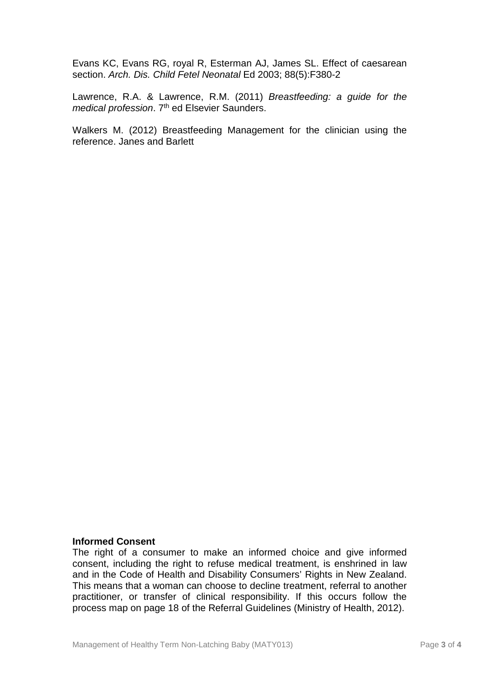Evans KC, Evans RG, royal R, Esterman AJ, James SL. Effect of caesarean section. Arch. Dis. Child Fetel Neonatal Ed 2003; 88(5):F380-2

Lawrence, R.A. & Lawrence, R.M. (2011) Breastfeeding: a guide for the medical profession. 7<sup>th</sup> ed Elsevier Saunders.

Walkers M. (2012) Breastfeeding Management for the clinician using the reference. Janes and Barlett

#### **Informed Consent**

The right of a consumer to make an informed choice and give informed consent, including the right to refuse medical treatment, is enshrined in law and in the Code of Health and Disability Consumers' Rights in New Zealand. This means that a woman can choose to decline treatment, referral to another practitioner, or transfer of clinical responsibility. If this occurs follow the process map on page 18 of the Referral Guidelines (Ministry of Health, 2012).